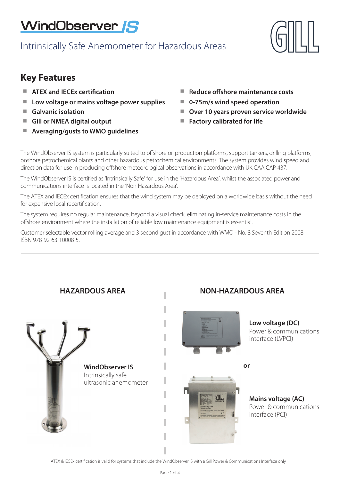# WindObserver **IS**

Intrinsically Safe Anemometer for Hazardous Areas



## **Key Features**

- -**ATEX and IECEx certification** -
- -**Low voltage or mains voltage power supplies** -
- -**Galvanic isolation**
- **E** Gill or NMEA digital output
- Averaging/gusts to WMO guidelines
- **Reduce offshore maintenance costs**
- **0-75m/s wind speed operation**
- **Over 10 years proven service worldwide**
- **Factory calibrated for life**

The WindObserver IS system is particularly suited to offshore oil production platforms, support tankers, drilling platforms, onshore petrochemical plants and other hazardous petrochemical environments. The system provides wind speed and direction data for use in producing offshore meteorological observations in accordance with UK CAA CAP 437.

The WindObserver IS is certified as 'Intrinsically Safe' for use in the 'Hazardous Area', whilst the associated power and communications interface is located in the 'Non Hazardous Area'.

The ATEX and IECEx certification ensures that the wind system may be deployed on a worldwide basis without the need for expensive local recertification.

The system requires no regular maintenance, beyond a visual check, eliminating in-service maintenance costs in the offshore environment where the installation of reliable low maintenance equipment is essential.

Customer selectable vector rolling average and 3 second gust in accordance with WMO - No. 8 Seventh Edition 2008 ISBN 978-92-63-10008-5.



## **HAZARDOUS AREA NON-HAZARDOUS AREA**



**Low voltage (DC)** Power & communications interface (LVPCI)

**or**



**Mains voltage (AC)** Power & communications interface (PCI)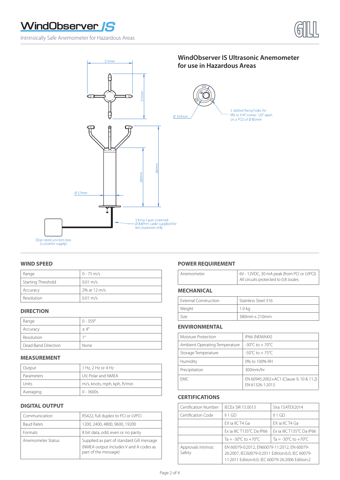# WindObserver S

Intrinsically Safe Anemometer for Hazardous Areas





EExe rated junction box<br>(customer supply)

| Range              | $0 - 75$ m/s       |
|--------------------|--------------------|
| Starting Threshold | $0.01 \text{ m/s}$ |
| Accuracy           | 2% at 12 m/s       |
| Resolution         | $0.01 \text{ m/s}$ |

#### **DIRECTION**

| Range               | $0 - 359^\circ$ |
|---------------------|-----------------|
| Accuracy            | $+4^{\circ}$    |
| Resolution          | 10              |
| Dead Band Direction | None            |

#### **MEASUREMENT**

| Output     | 1 Hz, 2 Hz or 4 Hz           |
|------------|------------------------------|
| Parameters | UV, Polar and NMEA           |
| Units      | m/s, knots, mph, kph, ft/min |
| Averaging  | $0 - 3600s$                  |

#### **DIGITAL OUTPUT**

| Communication     | RS422, full duplex to PCI or LVPCI                                                                          |
|-------------------|-------------------------------------------------------------------------------------------------------------|
| <b>Baud Rates</b> | 1200, 2400, 4800, 9600, 19200                                                                               |
| <b>Formats</b>    | 8 bit data, odd, even or no parity                                                                          |
| Anemometer Status | Supplied as part of standard Gill message<br>(NMEA output includes V and A codes as<br>part of the message) |

#### **WIND SPEED POWER REQUIREMENT**

### **MECHANICAL**

| <b>External Construction</b> | Stainless Steel 316 |
|------------------------------|---------------------|
| Weight                       | 1.9 ka              |
| Size                         | 380mm x 210mm       |

#### **ENVIRONMENTAL**

| Moisture Protection           | IP66 (NEMA4X)                                              |
|-------------------------------|------------------------------------------------------------|
| Ambient Operating Temperature | $-30^{\circ}$ C to $+70^{\circ}$ C                         |
| Storage Temperature           | $-50^{\circ}$ C to $+75^{\circ}$ C                         |
| Humidity                      | 0% to 100% RH                                              |
| Precipitation                 | 300mm/hr                                                   |
| FMC.                          | EN 60945:2002+AC1 (Clause 9, 10 & 11.2)<br>FN 61326-1:2013 |

### **CERTIFICATIONS**

| Certification Number          | <b>IECEX SIR 15.0013</b>                                                                                                                            | Sira 15ATEX2014                         |
|-------------------------------|-----------------------------------------------------------------------------------------------------------------------------------------------------|-----------------------------------------|
| Certification Code            | II 1 GD                                                                                                                                             | II 1 GD                                 |
|                               | EX ia IIC T4 Ga                                                                                                                                     | FX ia IIC T4 Ga                         |
|                               | Ex ia IIIC T135°C Da IP66                                                                                                                           | Ex ia IIIC T135°C Da IP66               |
|                               | Ta = $-30^{\circ}$ C to $+70^{\circ}$ C                                                                                                             | Ta = $-30^{\circ}$ C to $+70^{\circ}$ C |
| Approvals Intrinsic<br>Safety | EN 60079-0:2012, EN60079-11:2012, EN 60079-<br>26:2007, IEC60079-0:2011 Edition:6.0, IEC 60079-<br>11:2011 Edition:6.0, IEC 60079-26:2006 Edition:2 |                                         |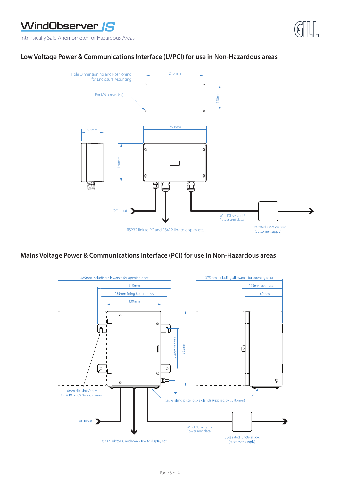Intrinsically Safe Anemometer for Hazardous Areas

### **Low Voltage Power & Communications Interface (LVPCI) for use in Non-Hazardous areas**



### **Mains Voltage Power & Communications Interface (PCI) for use in Non-Hazardous areas**